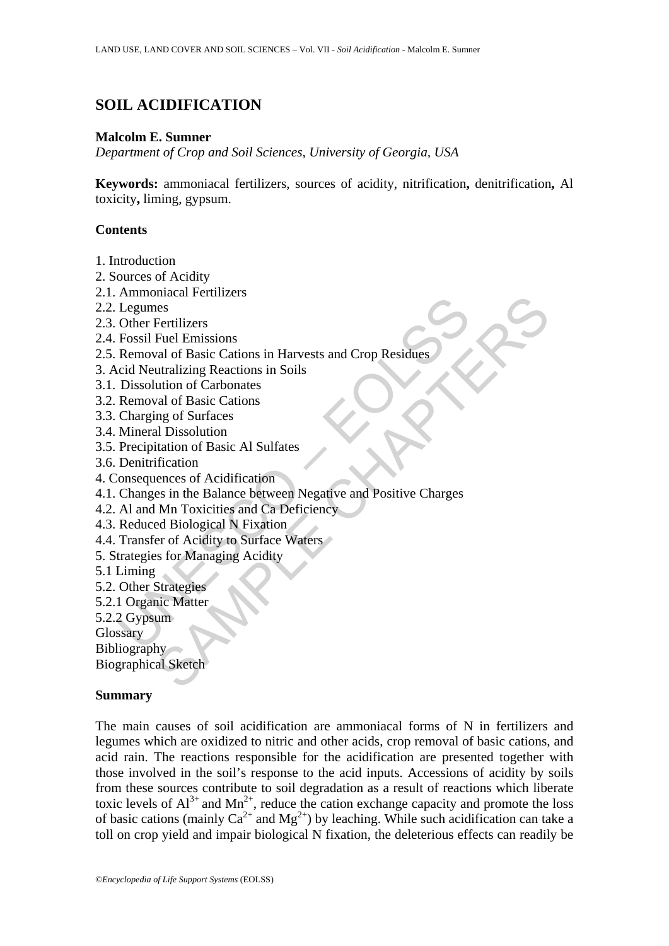# **SOIL ACIDIFICATION**

#### **Malcolm E. Sumner**

*Department of Crop and Soil Sciences, University of Georgia, USA* 

**Keywords:** ammoniacal fertilizers, sources of acidity, nitrification**,** denitrification**,** Al toxicity**,** liming, gypsum.

### **Contents**

- 1. Introduction
- 2. Sources of Acidity
- 2.1. Ammoniacal Fertilizers
- 2.2. Legumes
- 2.3. Other Fertilizers
- 2.4. Fossil Fuel Emissions
- 2.5. Removal of Basic Cations in Harvests and Crop Residues
- 3. Acid Neutralizing Reactions in Soils
- 3.1. Dissolution of Carbonates
- 3.2. Removal of Basic Cations
- 3.3. Charging of Surfaces
- 3.4. Mineral Dissolution
- 3.5. Precipitation of Basic Al Sulfates
- 3.6. Denitrification
- 4. Consequences of Acidification
- Financial Profile<br>
Legumes<br>
Other Fertilizers<br>
Fossil Fuel Emissions<br>
Removal of Basic Cations in Harvests and Crop Residues<br>
Cid Neutralizing Reactions in Soils<br>
Dissolution of Carbonates<br>
Removal of Basic Cations<br>
Chargi meadar retinizers<br>
Fertilizers<br>
Feel Emissions<br>
Feld Emissions<br>
utrail/ing Reactions in Harvests and Crop Residues<br>
utrail/ing Reactions in Soils<br>
ution of Carbonates<br>
and of Basic Cations<br>
Il Dissolution<br>
intation of Basi 4.1. Changes in the Balance between Negative and Positive Charges
- 4.2. Al and Mn Toxicities and Ca Deficiency
- 4.3. Reduced Biological N Fixation
- 4.4. Transfer of Acidity to Surface Waters
- 5. Strategies for Managing Acidity
- 5.1 Liming
- 5.2. Other Strategies
- 5.2.1 Organic Matter
- 5.2.2 Gypsum
- **Glossary**

**Bibliography** 

Biographical Sketch

## **Summary**

The main causes of soil acidification are ammoniacal forms of N in fertilizers and legumes which are oxidized to nitric and other acids, crop removal of basic cations, and acid rain. The reactions responsible for the acidification are presented together with those involved in the soil's response to the acid inputs. Accessions of acidity by soils from these sources contribute to soil degradation as a result of reactions which liberate toxic levels of  $Al^{3+}$  and  $Mn^{2+}$ , reduce the cation exchange capacity and promote the loss of basic cations (mainly  $Ca^{2+}$  and  $Mg^{2+}$ ) by leaching. While such acidification can take a toll on crop yield and impair biological N fixation, the deleterious effects can readily be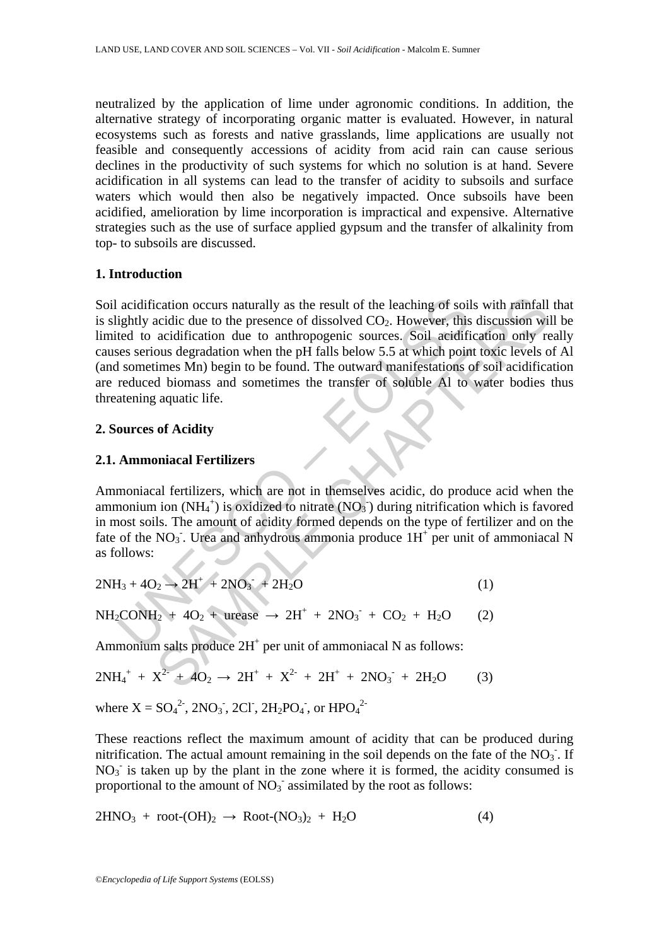neutralized by the application of lime under agronomic conditions. In addition, the alternative strategy of incorporating organic matter is evaluated. However, in natural ecosystems such as forests and native grasslands, lime applications are usually not feasible and consequently accessions of acidity from acid rain can cause serious declines in the productivity of such systems for which no solution is at hand. Severe acidification in all systems can lead to the transfer of acidity to subsoils and surface waters which would then also be negatively impacted. Once subsoils have been acidified, amelioration by lime incorporation is impractical and expensive. Alternative strategies such as the use of surface applied gypsum and the transfer of alkalinity from top- to subsoils are discussed.

## **1. Introduction**

acidification occurs naturally as the result of the leaching of soil<br>ightly acidic due to the presence of dissolved CO<sub>2</sub>. However, this<br>ted to acidification due to anthropogenic sources. Soil acidifications<br>ses serious d cation occurs naturally as the result of the leaching of soils with rainfall<br>acidic due to the presence of dissolved CO<sub>2</sub>. However, this discussion wil<br>acidication due to anthropogenic sources. Soil acidification only re Soil acidification occurs naturally as the result of the leaching of soils with rainfall that is slightly acidic due to the presence of dissolved  $CO<sub>2</sub>$ . However, this discussion will be limited to acidification due to anthropogenic sources. Soil acidification only really causes serious degradation when the pH falls below 5.5 at which point toxic levels of Al (and sometimes Mn) begin to be found. The outward manifestations of soil acidification are reduced biomass and sometimes the transfer of soluble Al to water bodies thus threatening aquatic life.

## **2. Sources of Acidity**

## **2.1. Ammoniacal Fertilizers**

Ammoniacal fertilizers, which are not in themselves acidic, do produce acid when the ammonium ion (NH<sub>4</sub><sup>+</sup>) is oxidized to nitrate (NO<sub>3</sub><sup>-</sup>) during nitrification which is favored in most soils. The amount of acidity formed depends on the type of fertilizer and on the fate of the  $NO<sub>3</sub>$ . Urea and anhydrous ammonia produce  $1H<sup>+</sup>$  per unit of ammoniacal N as follows:

$$
2NH_3 + 4O_2 \rightarrow 2H^+ + 2NO_3^- + 2H_2O
$$
 (1)

$$
NH_2CONH_2 + 4O_2 + \text{urcase} \rightarrow 2H^+ + 2NO_3 + CO_2 + H_2O \qquad (2)
$$

Ammonium salts produce  $2H<sup>+</sup>$  per unit of ammoniacal N as follows:

$$
2NH_4^+ + X^{2-} + 4O_2 \rightarrow 2H^+ + X^{2-} + 2H^+ + 2NO_3^- + 2H_2O \qquad (3)
$$

where  $X = SO_4^2$ , 2NO<sub>3</sub>, 2Cl, 2H<sub>2</sub>PO<sub>4</sub>, or HPO<sub>4</sub><sup>2</sup>

These reactions reflect the maximum amount of acidity that can be produced during nitrification. The actual amount remaining in the soil depends on the fate of the  $NO<sub>3</sub>$ . If  $NO<sub>3</sub>$  is taken up by the plant in the zone where it is formed, the acidity consumed is proportional to the amount of  $NO<sub>3</sub>$  assimilated by the root as follows:

$$
2HNO3 + root-(OH)2 \rightarrow Root-(NO3)2 + H2O
$$
 (4)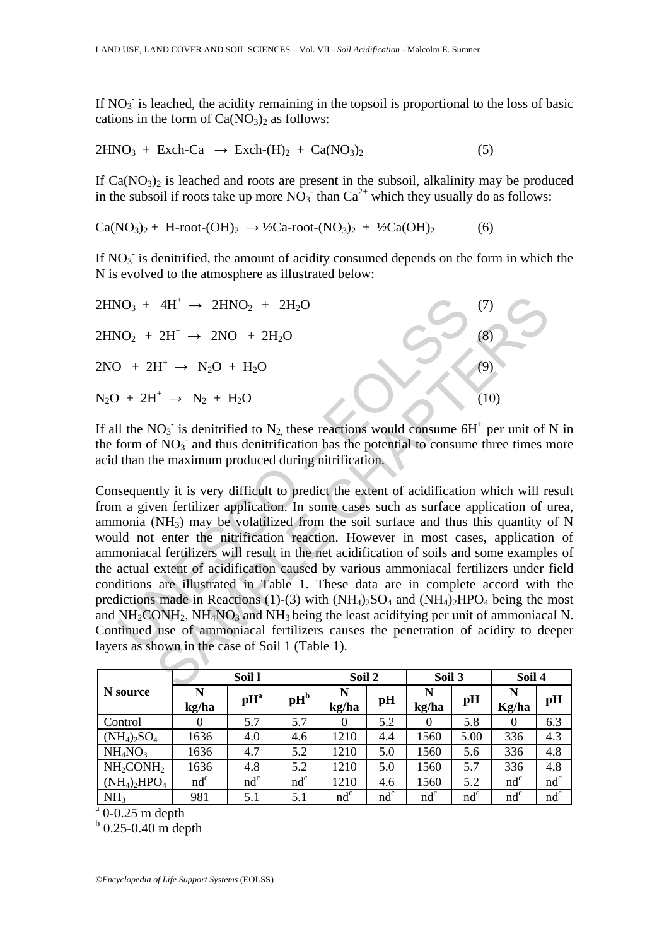If  $NO<sub>3</sub>$  is leached, the acidity remaining in the topsoil is proportional to the loss of basic cations in the form of  $Ca(NO<sub>3</sub>)<sub>2</sub>$  as follows:

$$
2HNO3 + Exch-Ca \rightarrow Exch-(H)2 + Ca(NO3)2
$$
 (5)

If  $Ca(NO<sub>3</sub>)<sub>2</sub>$  is leached and roots are present in the subsoil, alkalinity may be produced in the subsoil if roots take up more  $NO_3^-$  than  $Ca^{2+}$  which they usually do as follows:

 $Ca(NO_3)_2 + H-root-(OH)_2 \rightarrow \frac{1}{2}Ca-root-(NO_3)_2 + \frac{1}{2}Ca(OH)_2$  (6)

If  $NO<sub>3</sub>$  is denitrified, the amount of acidity consumed depends on the form in which the N is evolved to the atmosphere as illustrated below:

 $2HNO<sub>3</sub> + 4H<sup>+</sup> \rightarrow 2HNO<sub>2</sub> + 2H<sub>2</sub>O$  (7)  $2\text{HNO}_2 + 2\text{H}^+ \rightarrow 2\text{NO} + 2\text{H}_2\text{O}$  (8)  $2NO + 2H^{+} \rightarrow N_{2}O + H_{2}O$  (9)  $N_2O + 2H^+ \rightarrow N_2 + H_2O$  (10)

If all the NO<sub>3</sub> is denitrified to N<sub>2</sub>, these reactions would consume  $6H^+$  per unit of N in the form of  $NO<sub>3</sub>$  and thus denitrification has the potential to consume three times more acid than the maximum produced during nitrification.

NO<sub>3</sub> + 4H<sup>+</sup> → 2HNO<sub>2</sub> + 2H<sub>2</sub>O<br>
NO<sub>2</sub> + 2H<sup>+</sup> → 2NO + 2H<sub>2</sub>O<br>  $+ 2H^+$  → N<sub>2</sub>O + H<sub>2</sub>O<br>  $+ 2H^+$  → N<sub>2</sub>O + H<sub>2</sub>O<br>  $+ 2H^+$  → N<sub>2</sub> + H<sub>2</sub>O<br>  $+ 2H^+$  → N<sub>2</sub> + H<sub>2</sub>O<br>  $+ 2H^+$  → N<sub>2</sub> + H<sub>2</sub>O<br>  $+ 2H^+$  → N<sub>2</sub> + H<sub>2</sub>O<br>  $+ 2$ 4H<sup>+</sup> → 2HNO<sub>2</sub> + 2H<sub>2</sub>O<br>
2H<sup>+</sup> → 2NO + 2H<sub>2</sub>O<br>
(<sup>1</sup>)<br>
2H<sup>+</sup> → N<sub>2</sub>O + H<sub>2</sub>O<br>
(10)<br>
(10)<br>
(10)<br>
(10)<br>
(10)<br>
(10)<br>
(10)<br>
(10)<br>
(10)<br>
(10)<br>
(10)<br>
(10)<br>
(10)<br>
(10)<br>
(10)<br>
(10)<br>
(10)<br>
(10)<br>
(10)<br>
(10)<br>
(10)<br>
(10)<br>
(10)<br>
(10) Consequently it is very difficult to predict the extent of acidification which will result from a given fertilizer application. In some cases such as surface application of urea, ammonia ( $NH<sub>3</sub>$ ) may be volatilized from the soil surface and thus this quantity of N would not enter the nitrification reaction. However in most cases, application of ammoniacal fertilizers will result in the net acidification of soils and some examples of the actual extent of acidification caused by various ammoniacal fertilizers under field conditions are illustrated in Table 1. These data are in complete accord with the predictions made in Reactions (1)-(3) with  $(NH_4)_2SO_4$  and  $(NH_4)_2HPO_4$  being the most and  $NH<sub>2</sub>CONH<sub>2</sub> NH<sub>4</sub>NO<sub>3</sub>$  and  $NH<sub>3</sub>$  being the least acidifying per unit of ammoniacal N. Continued use of ammoniacal fertilizers causes the penetration of acidity to deeper layers as shown in the case of Soil 1 (Table 1).

|                                 | Soil 1     |                             |                             | Soil 2     |        | Soil 3     |        | Soil 4     |        |
|---------------------------------|------------|-----------------------------|-----------------------------|------------|--------|------------|--------|------------|--------|
| N source                        | N<br>kg/ha | $\mathbf{p}$ H <sup>a</sup> | $\mathbf{p}$ H <sup>b</sup> | N<br>kg/ha | pH     | N<br>kg/ha | pH     | N<br>Kg/ha | pH     |
| Control                         | $\theta$   | 5.7                         | 5.7                         | $\theta$   | 5.2    | $\theta$   | 5.8    | $\Omega$   | 6.3    |
| $(NH_4)_2SO_4$                  | 1636       | 4.0                         | 4.6                         | 1210       | 4.4    | 1560       | 5.00   | 336        | 4.3    |
| NH <sub>4</sub> NO <sub>3</sub> | 1636       | 4.7                         | 5.2                         | 1210       | 5.0    | 1560       | 5.6    | 336        | 4.8    |
| $NH2$ CONH <sub>2</sub>         | 1636       | 4.8                         | 5.2                         | 1210       | 5.0    | 1560       | 5.7    | 336        | 4.8    |
| $(NH_4)_2HPO_4$                 | $nd^c$     | $nd^c$                      | $nd^c$                      | 1210       | 4.6    | 1560       | 5.2    | $nd^c$     | $nd^c$ |
| NH <sub>3</sub>                 | 981        | 5.1                         | 5.1                         | $nd^c$     | $nd^c$ | $nd^c$     | $nd^c$ | $nd^c$     | $nd^c$ |

 $a$ <sup>0</sup> 0-0.25 m depth

 $b$  0.25-0.40 m depth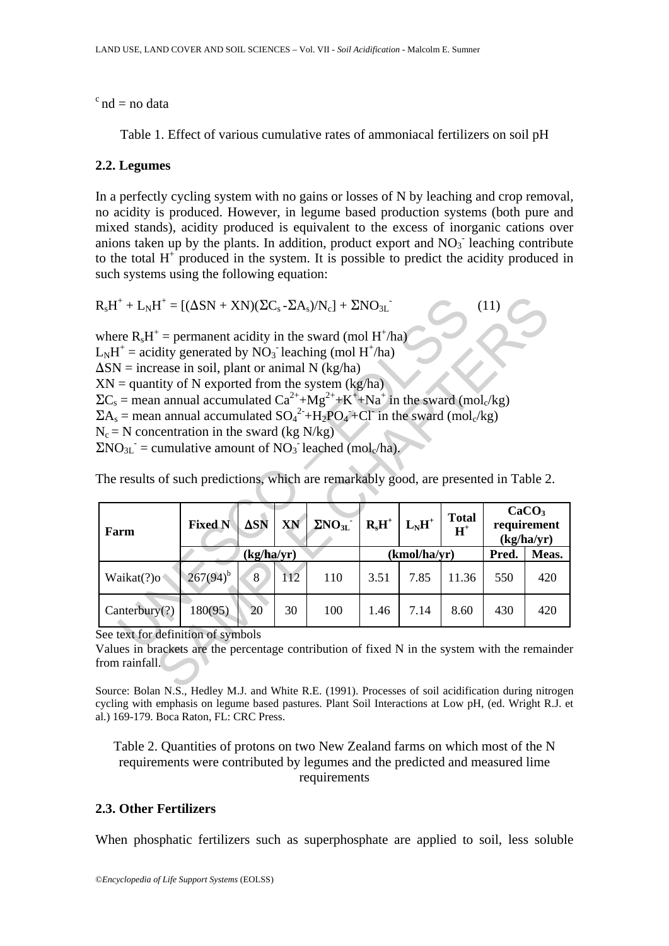$\textdegree$  nd = no data

Table 1. Effect of various cumulative rates of ammoniacal fertilizers on soil pH

## **2.2. Legumes**

In a perfectly cycling system with no gains or losses of N by leaching and crop removal, no acidity is produced. However, in legume based production systems (both pure and mixed stands), acidity produced is equivalent to the excess of inorganic cations over anions taken up by the plants. In addition, product export and  $NO<sub>3</sub>$  leaching contribute to the total  $H^+$  produced in the system. It is possible to predict the acidity produced in such systems using the following equation:

$$
R_sH^+ + L_NH^+ = [(\Delta SN + XN)(\Sigma C_s - \Sigma A_s)/N_c] + \Sigma NO_{3L}^-
$$

|                                                                                                                                                                                                                                                                                                                                                                                                                                                                                                                                                                                                                                                                                                                                                                    |                |                |     | $R_sH^+ + L_NH^+ = [(\Delta SN + XN)(\Sigma C_s - \Sigma A_s)/N_c] + \Sigma NO_{3L}$ |          |              |                       | (11)  |                                  |
|--------------------------------------------------------------------------------------------------------------------------------------------------------------------------------------------------------------------------------------------------------------------------------------------------------------------------------------------------------------------------------------------------------------------------------------------------------------------------------------------------------------------------------------------------------------------------------------------------------------------------------------------------------------------------------------------------------------------------------------------------------------------|----------------|----------------|-----|--------------------------------------------------------------------------------------|----------|--------------|-----------------------|-------|----------------------------------|
| where $R_sH^+$ = permanent acidity in the sward (mol H <sup>+</sup> /ha)<br>$L_NH^+$ = acidity generated by NO <sub>3</sub> leaching (mol H <sup>+</sup> /ha)<br>$\Delta SN$ = increase in soil, plant or animal N (kg/ha)<br>$XY =$ quantity of N exported from the system (kg/ha)<br>$\Sigma C_s$ = mean annual accumulated $Ca^{2+}+Mg^{2+}+K^+ +Na^+$ in the sward (mol <sub>c</sub> /kg)<br>$\Sigma A_s$ = mean annual accumulated $SO_4^2$ +H <sub>2</sub> PO <sub>4</sub> +Cl <sup>-</sup> in the sward (mol <sub>c</sub> /kg)<br>$N_c = N$ concentration in the sward (kg N/kg)<br>$\Sigma NO_{3L}$ = cumulative amount of $NO_3$ leached (mol <sub>c</sub> /ha).<br>The results of such predictions, which are remarkably good, are presented in Table 2. |                |                |     |                                                                                      |          |              |                       |       |                                  |
|                                                                                                                                                                                                                                                                                                                                                                                                                                                                                                                                                                                                                                                                                                                                                                    |                |                |     |                                                                                      |          |              |                       |       |                                  |
| Farm                                                                                                                                                                                                                                                                                                                                                                                                                                                                                                                                                                                                                                                                                                                                                               | <b>Fixed N</b> | $\Delta$ SN    | XN  | $\Sigma NO_{3L}$                                                                     | $R_sH^+$ | $L_NH^+$     | <b>Total</b><br>$H^+$ |       | CaCO <sub>3</sub><br>requirement |
|                                                                                                                                                                                                                                                                                                                                                                                                                                                                                                                                                                                                                                                                                                                                                                    |                | (kg/ha/yr)     |     |                                                                                      |          | (kmol/ha/yr) |                       | Pred. | (kg/ha/yr)<br>Meas.              |
| Waikat(?)o                                                                                                                                                                                                                                                                                                                                                                                                                                                                                                                                                                                                                                                                                                                                                         | $267(94)^{b}$  | 8 <sub>1</sub> | 112 | 110                                                                                  | 3.51     | 7.85         | 11.36                 | 550   | 420                              |
| Canterbury(?)                                                                                                                                                                                                                                                                                                                                                                                                                                                                                                                                                                                                                                                                                                                                                      | 180(95)        | 20             | 30  | 100                                                                                  | 1.46     | 7.14         | 8.60                  | 430   | 420                              |

Source: Bolan N.S., Hedley M.J. and White R.E. (1991). Processes of soil acidification during nitrogen cycling with emphasis on legume based pastures. Plant Soil Interactions at Low pH, (ed. Wright R.J. et al.) 169-179. Boca Raton, FL: CRC Press.

Table 2. Quantities of protons on two New Zealand farms on which most of the N requirements were contributed by legumes and the predicted and measured lime requirements

## **2.3. Other Fertilizers**

When phosphatic fertilizers such as superphosphate are applied to soil, less soluble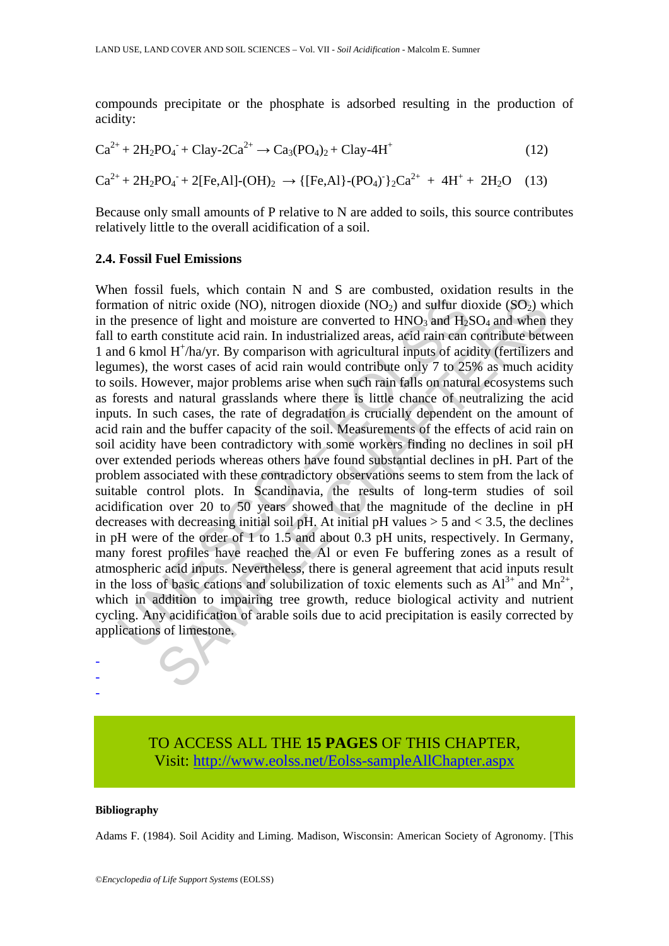compounds precipitate or the phosphate is adsorbed resulting in the production of acidity:

$$
Ca^{2+} + 2H_2PO_4 + Clay-2Ca^{2+} \rightarrow Ca_3(PO_4)_2 + Clay-4H^+ \tag{12}
$$
  

$$
Ca^{2+} + 2H_2PO_4 + 2[Fe, Al] - (OH)_2 \rightarrow \{[Fe, Al\} - (PO_4)^{-1}Ca^{2+} + 4H^+ + 2H_2O \tag{13}
$$

Because only small amounts of P relative to N are added to soils, this source contributes relatively little to the overall acidification of a soil.

#### **2.4. Fossil Fuel Emissions**

nation of nitric oxide (NO), nitrogen dioxide (NO<sub>2</sub>) and sulfur die presence of light and moisture are converted to HNO<sub>3</sub> and H<sub>2</sub>5 to earth constitute acid rain. In industrialized areas, acid rain can d 6 kmol H'/ha/yr for interiors, the magnitude (NO), nitrogen dioxide (NO<sub>2</sub>) and sulfur dioxide (SO<sub>2</sub>) we<br>nece of light and moisture are converted to HNO<sub>3</sub> and H<sub>3</sub>SO<sub>4</sub> and when<br>constitute acid rain. In industrialized areas, agid rain When fossil fuels, which contain N and S are combusted, oxidation results in the formation of nitric oxide (NO), nitrogen dioxide (NO<sub>2</sub>) and sulfur dioxide (SO<sub>2</sub>) which in the presence of light and moisture are converted to  $HNO<sub>3</sub>$  and  $H<sub>2</sub>SO<sub>4</sub>$  and when they fall to earth constitute acid rain. In industrialized areas, acid rain can contribute between 1 and 6 kmol H<sup>+</sup>/ha/yr. By comparison with agricultural inputs of acidity (fertilizers and legumes), the worst cases of acid rain would contribute only 7 to 25% as much acidity to soils. However, major problems arise when such rain falls on natural ecosystems such as forests and natural grasslands where there is little chance of neutralizing the acid inputs. In such cases, the rate of degradation is crucially dependent on the amount of acid rain and the buffer capacity of the soil. Measurements of the effects of acid rain on soil acidity have been contradictory with some workers finding no declines in soil pH over extended periods whereas others have found substantial declines in pH. Part of the problem associated with these contradictory observations seems to stem from the lack of suitable control plots. In Scandinavia, the results of long-term studies of soil acidification over 20 to 50 years showed that the magnitude of the decline in pH decreases with decreasing initial soil pH. At initial pH values  $> 5$  and  $< 3.5$ , the declines in pH were of the order of 1 to 1.5 and about 0.3 pH units, respectively. In Germany, many forest profiles have reached the Al or even Fe buffering zones as a result of atmospheric acid inputs. Nevertheless, there is general agreement that acid inputs result in the loss of basic cations and solubilization of toxic elements such as  $Al^{3+}$  and  $Mn^{2+}$ , which in addition to impairing tree growth, reduce biological activity and nutrient cycling. Any acidification of arable soils due to acid precipitation is easily corrected by applications of limestone.

> TO ACCESS ALL THE **15 PAGES** OF THIS CHAPTER, Visit: [http://www.eolss.net/Eolss-sampleAllChapter.aspx](https://www.eolss.net/ebooklib/sc_cart.aspx?File=E1-05-08-03)

#### **Bibliography**

- - -

Adams F. (1984). Soil Acidity and Liming. Madison, Wisconsin: American Society of Agronomy. [This